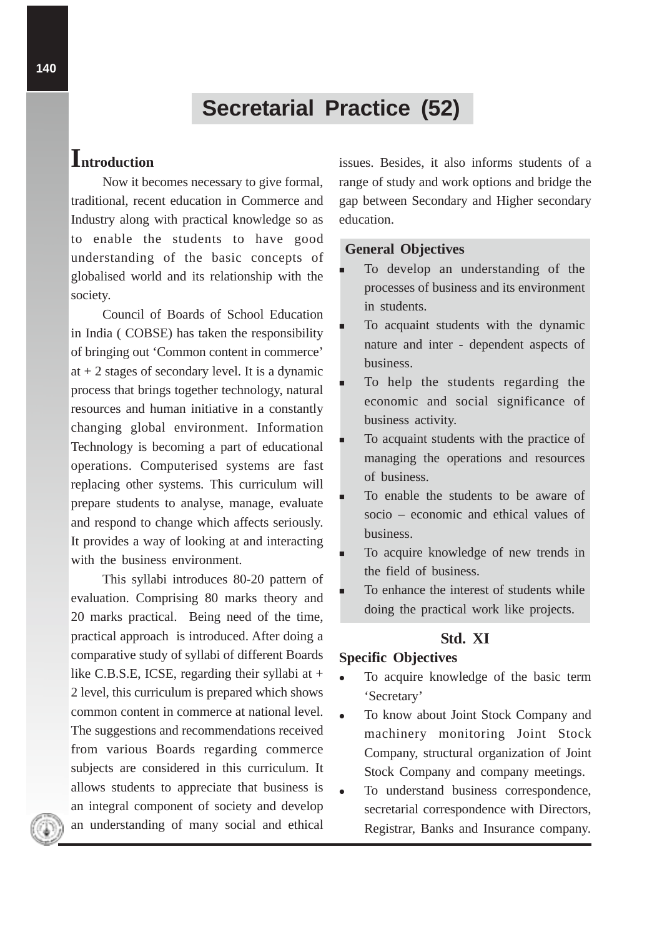# **Secretarial Practice (52)**

# **Introduction**

Now it becomes necessary to give formal, traditional, recent education in Commerce and Industry along with practical knowledge so as to enable the students to have good understanding of the basic concepts of globalised world and its relationship with the society.

Council of Boards of School Education in India ( COBSE) has taken the responsibility of bringing out 'Common content in commerce' at  $+2$  stages of secondary level. It is a dynamic process that brings together technology, natural resources and human initiative in a constantly changing global environment. Information Technology is becoming a part of educational operations. Computerised systems are fast replacing other systems. This curriculum will prepare students to analyse, manage, evaluate and respond to change which affects seriously. It provides a way of looking at and interacting with the business environment.

This syllabi introduces 80-20 pattern of evaluation. Comprising 80 marks theory and 20 marks practical. Being need of the time, practical approach is introduced. After doing a comparative study of syllabi of different Boards like C.B.S.E, ICSE, regarding their syllabi at + 2 level, this curriculum is prepared which shows common content in commerce at national level. The suggestions and recommendations received from various Boards regarding commerce subjects are considered in this curriculum. It allows students to appreciate that business is an integral component of society and develop an understanding of many social and ethical

issues. Besides, it also informs students of a range of study and work options and bridge the gap between Secondary and Higher secondary education.

#### **General Objectives**

- - To develop an understanding of the processes of business and its environment in students.
- - To acquaint students with the dynamic nature and inter - dependent aspects of business.
- - To help the students regarding the economic and social significance of business activity.
- - To acquaint students with the practice of managing the operations and resources of business.
- - To enable the students to be aware of socio – economic and ethical values of business.
- - To acquire knowledge of new trends in the field of business.
- - To enhance the interest of students while doing the practical work like projects.

## **Std. XI**

### **Specific Objectives**

- To acquire knowledge of the basic term 'Secretary'
- To know about Joint Stock Company and machinery monitoring Joint Stock Company, structural organization of Joint Stock Company and company meetings.
- To understand business correspondence, secretarial correspondence with Directors, Registrar, Banks and Insurance company.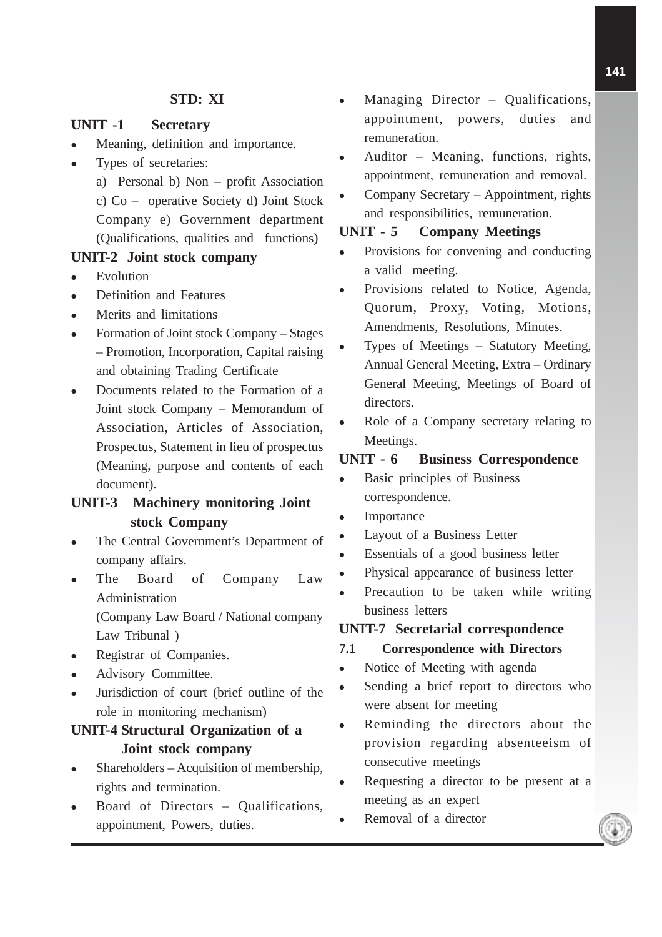## **STD: XI**

#### **UNIT -1 Secretary**

- Meaning, definition and importance.
- Types of secretaries:
	- a) Personal b) Non profit Association c) Co – operative Society d) Joint Stock Company e) Government department (Qualifications, qualities and functions)

#### **UNIT-2 Joint stock company**

- Evolution
- Definition and Features
- Merits and limitations
- Formation of Joint stock Company Stages – Promotion, Incorporation, Capital raising and obtaining Trading Certificate
- Documents related to the Formation of a Joint stock Company – Memorandum of Association, Articles of Association, Prospectus, Statement in lieu of prospectus (Meaning, purpose and contents of each document).

## **UNIT-3 Machinery monitoring Joint stock Company**

- The Central Government's Department of company affairs.
- The Board of Company Law Administration (Company Law Board / National company Law Tribunal )
- Registrar of Companies.
- Advisory Committee.
- Jurisdiction of court (brief outline of the role in monitoring mechanism)

# **UNIT-4 Structural Organization of a Joint stock company**

- Shareholders Acquisition of membership, rights and termination.
- Board of Directors Qualifications, appointment, Powers, duties.
- Managing Director Qualifications, appointment, powers, duties and remuneration.
- Auditor Meaning, functions, rights, appointment, remuneration and removal.
- Company Secretary Appointment, rights and responsibilities, remuneration.

### **UNIT - 5 Company Meetings**

- Provisions for convening and conducting a valid meeting.
- Provisions related to Notice, Agenda, Quorum, Proxy, Voting, Motions, Amendments, Resolutions, Minutes.
- Types of Meetings Statutory Meeting, Annual General Meeting, Extra – Ordinary General Meeting, Meetings of Board of directors.
- Role of a Company secretary relating to Meetings.

## **UNIT - 6 Business Correspondence**

- Basic principles of Business correspondence.
- Importance
- Layout of a Business Letter
- Essentials of a good business letter
- Physical appearance of business letter
- Precaution to be taken while writing business letters

#### **UNIT-7 Secretarial correspondence**

#### **7.1 Correspondence with Directors**

- Notice of Meeting with agenda
- Sending a brief report to directors who were absent for meeting
- Reminding the directors about the provision regarding absenteeism of consecutive meetings
- Requesting a director to be present at a meeting as an expert
- Removal of a director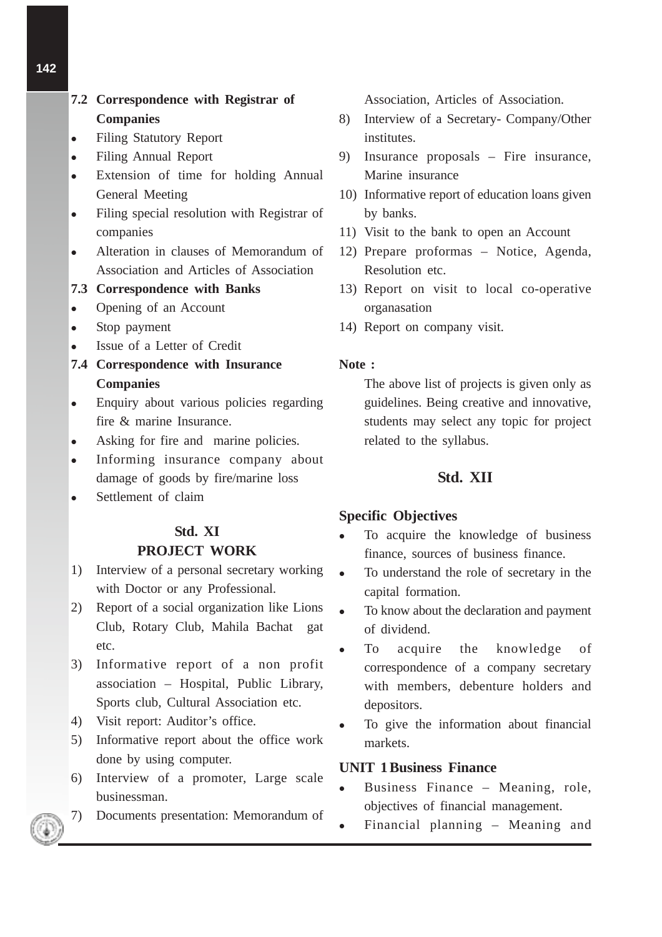# **7.2 Correspondence with Registrar of Companies**

- Filing Statutory Report
- Filing Annual Report
- Extension of time for holding Annual General Meeting
- Filing special resolution with Registrar of companies
- Alteration in clauses of Memorandum of Association and Articles of Association

## **7.3 Correspondence with Banks**

- Opening of an Account
- Stop payment
- Issue of a Letter of Credit
- **7.4 Correspondence with Insurance Companies**
- Enquiry about various policies regarding fire & marine Insurance.
- Asking for fire and marine policies.
- Informing insurance company about damage of goods by fire/marine loss
- Settlement of claim

# **Std. XI PROJECT WORK**

- 1) Interview of a personal secretary working with Doctor or any Professional.
- 2) Report of a social organization like Lions Club, Rotary Club, Mahila Bachat gat etc.
- 3) Informative report of a non profit association – Hospital, Public Library, Sports club, Cultural Association etc.
- 4) Visit report: Auditor's office.
- 5) Informative report about the office work done by using computer.
- 6) Interview of a promoter, Large scale businessman.
- 7) Documents presentation: Memorandum of

Association, Articles of Association.

- 8) Interview of a Secretary- Company/Other institutes.
- 9) Insurance proposals Fire insurance, Marine insurance
- 10) Informative report of education loans given by banks.
- 11) Visit to the bank to open an Account
- 12) Prepare proformas Notice, Agenda, Resolution etc.
- 13) Report on visit to local co-operative organasation
- 14) Report on company visit.

#### **Note :**

The above list of projects is given only as guidelines. Being creative and innovative, students may select any topic for project related to the syllabus.

## **Std. XII**

#### **Specific Objectives**

- To acquire the knowledge of business finance, sources of business finance.
- To understand the role of secretary in the capital formation.
- To know about the declaration and payment of dividend.
- To acquire the knowledge of correspondence of a company secretary with members, debenture holders and depositors.
- To give the information about financial markets.

## **UNIT 1 Business Finance**

- Business Finance Meaning, role, objectives of financial management.
- Financial planning Meaning and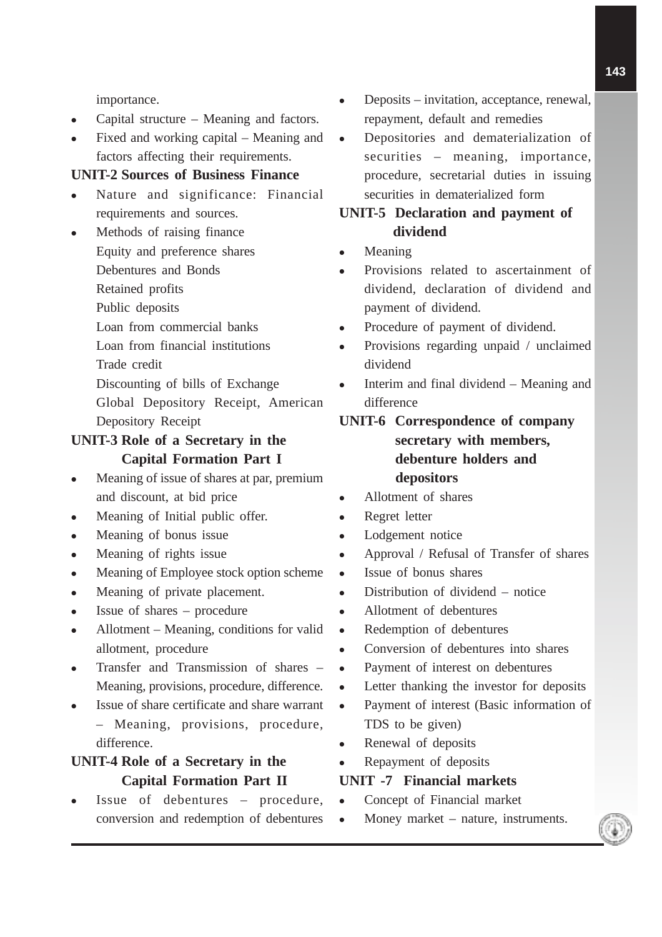importance.

- Capital structure Meaning and factors.
- Fixed and working capital Meaning and factors affecting their requirements.

#### **UNIT-2 Sources of Business Finance**

- Nature and significance: Financial requirements and sources.
- Methods of raising finance Equity and preference shares
	- Debentures and Bonds
	- Retained profits
	- Public deposits
	- Loan from commercial banks
	- Loan from financial institutions
	- Trade credit
	- Discounting of bills of Exchange
	- Global Depository Receipt, American Depository Receipt

## **UNIT-3 Role of a Secretary in the Capital Formation Part I**

- Meaning of issue of shares at par, premium and discount, at bid price
- Meaning of Initial public offer.
- Meaning of bonus issue
- Meaning of rights issue
- Meaning of Employee stock option scheme
- Meaning of private placement.
- Issue of shares procedure
- Allotment Meaning, conditions for valid allotment, procedure
- Transfer and Transmission of shares Meaning, provisions, procedure, difference.
- Issue of share certificate and share warrant – Meaning, provisions, procedure, difference.

# **UNIT-4 Role of a Secretary in the Capital Formation Part II**

 Issue of debentures – procedure, conversion and redemption of debentures

- Deposits invitation, acceptance, renewal, repayment, default and remedies
- Depositories and dematerialization of securities – meaning, importance, procedure, secretarial duties in issuing securities in dematerialized form

# **UNIT-5 Declaration and payment of dividend**

- Meaning
- Provisions related to ascertainment of dividend, declaration of dividend and payment of dividend.
- Procedure of payment of dividend.
- Provisions regarding unpaid / unclaimed dividend
- Interim and final dividend Meaning and difference

# **UNIT-6 Correspondence of company secretary with members, debenture holders and depositors**

- Allotment of shares
- Regret letter
- Lodgement notice
- Approval / Refusal of Transfer of shares
- Issue of bonus shares
- Distribution of dividend notice
- Allotment of debentures
- Redemption of debentures
- Conversion of debentures into shares
- Payment of interest on debentures
- Letter thanking the investor for deposits
- Payment of interest (Basic information of TDS to be given)
- Renewal of deposits
- Repayment of deposits

#### **UNIT -7 Financial markets**

- Concept of Financial market
- Money market nature, instruments.